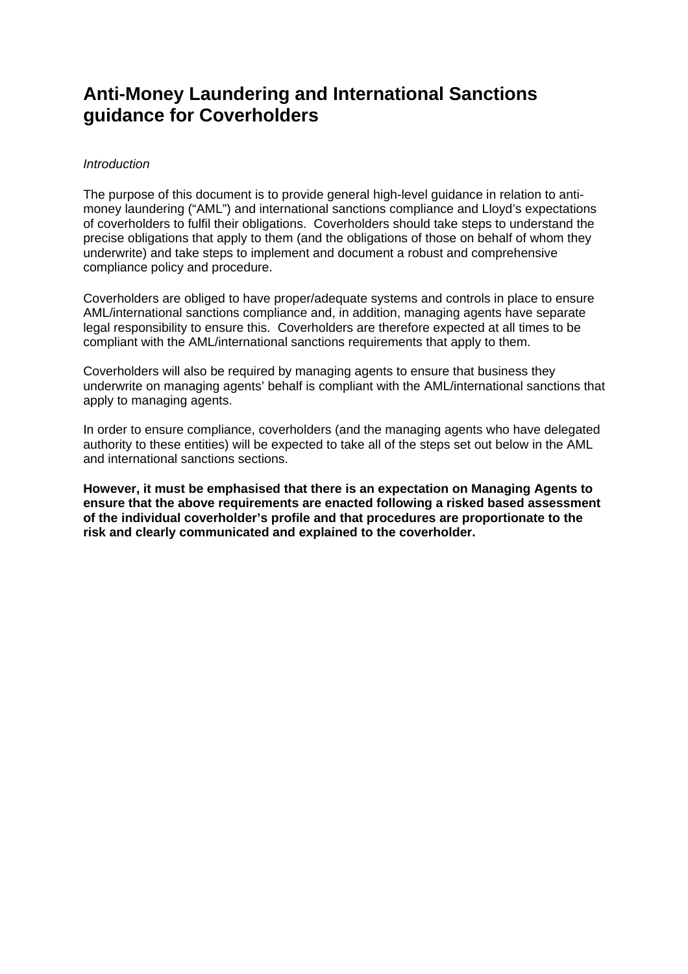# **Anti-Money Laundering and International Sanctions guidance for Coverholders**

# *Introduction*

The purpose of this document is to provide general high-level guidance in relation to antimoney laundering ("AML") and international sanctions compliance and Lloyd's expectations of coverholders to fulfil their obligations. Coverholders should take steps to understand the precise obligations that apply to them (and the obligations of those on behalf of whom they underwrite) and take steps to implement and document a robust and comprehensive compliance policy and procedure.

Coverholders are obliged to have proper/adequate systems and controls in place to ensure AML/international sanctions compliance and, in addition, managing agents have separate legal responsibility to ensure this. Coverholders are therefore expected at all times to be compliant with the AML/international sanctions requirements that apply to them.

Coverholders will also be required by managing agents to ensure that business they underwrite on managing agents' behalf is compliant with the AML/international sanctions that apply to managing agents.

In order to ensure compliance, coverholders (and the managing agents who have delegated authority to these entities) will be expected to take all of the steps set out below in the AML and international sanctions sections.

**However, it must be emphasised that there is an expectation on Managing Agents to ensure that the above requirements are enacted following a risked based assessment of the individual coverholder's profile and that procedures are proportionate to the risk and clearly communicated and explained to the coverholder.**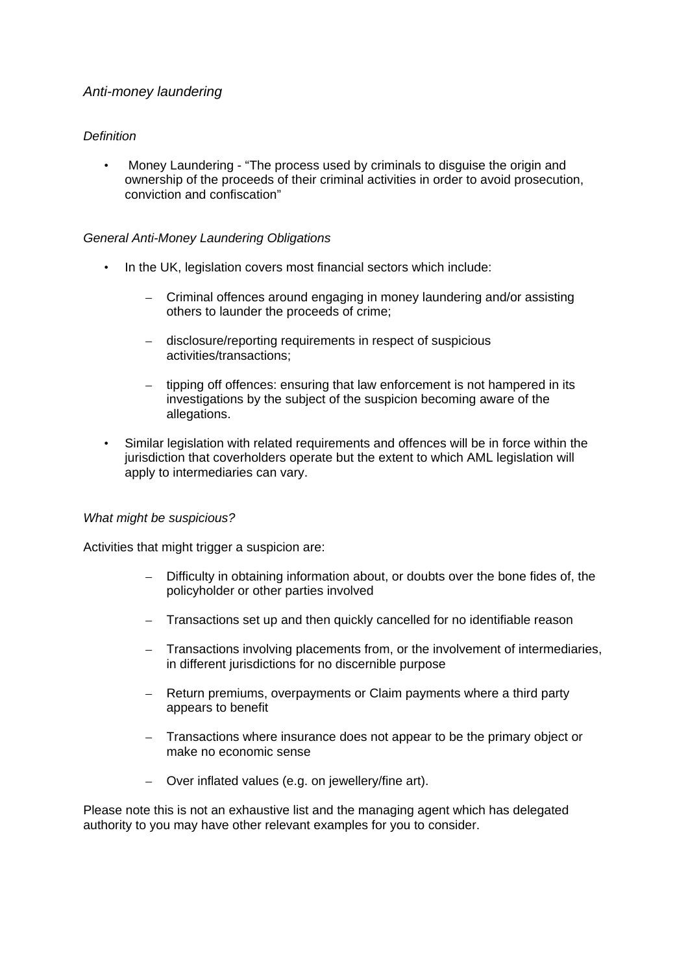# *Anti-money laundering*

# *Definition*

• Money Laundering - "The process used by criminals to disguise the origin and ownership of the proceeds of their criminal activities in order to avoid prosecution, conviction and confiscation"

# *General Anti-Money Laundering Obligations*

- In the UK, legislation covers most financial sectors which include:
	- Criminal offences around engaging in money laundering and/or assisting others to launder the proceeds of crime;
	- disclosure/reporting requirements in respect of suspicious activities/transactions;
	- tipping off offences: ensuring that law enforcement is not hampered in its investigations by the subject of the suspicion becoming aware of the allegations.
- Similar legislation with related requirements and offences will be in force within the jurisdiction that coverholders operate but the extent to which AML legislation will apply to intermediaries can vary.

#### *What might be suspicious?*

Activities that might trigger a suspicion are:

- Difficulty in obtaining information about, or doubts over the bone fides of, the policyholder or other parties involved
- Transactions set up and then quickly cancelled for no identifiable reason
- Transactions involving placements from, or the involvement of intermediaries, in different jurisdictions for no discernible purpose
- Return premiums, overpayments or Claim payments where a third party appears to benefit
- Transactions where insurance does not appear to be the primary object or make no economic sense
- Over inflated values (e.g. on jewellery/fine art).

Please note this is not an exhaustive list and the managing agent which has delegated authority to you may have other relevant examples for you to consider.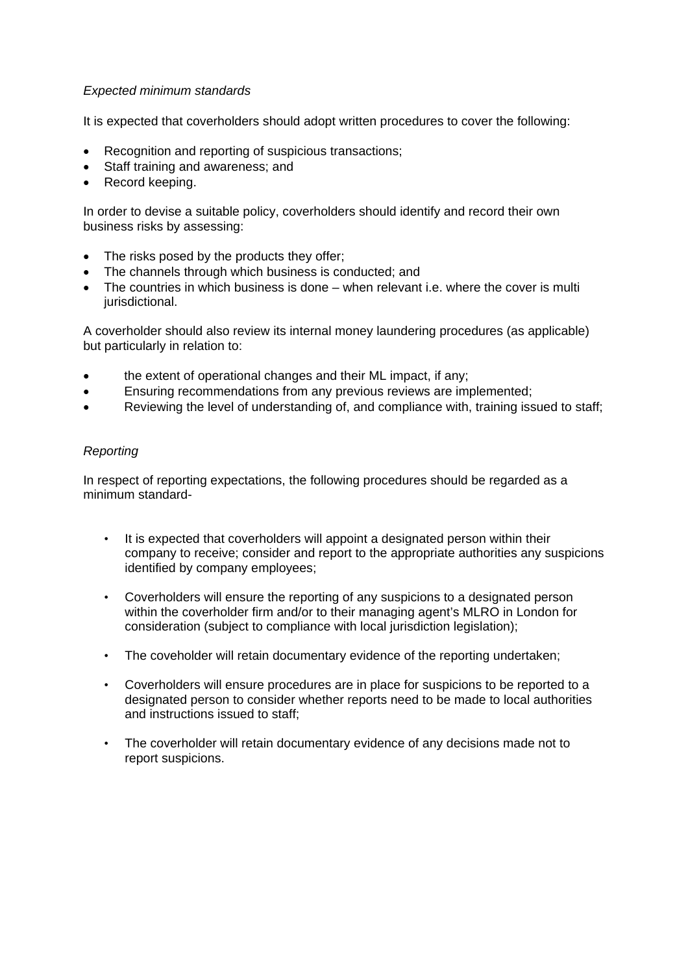## *Expected minimum standards*

It is expected that coverholders should adopt written procedures to cover the following:

- Recognition and reporting of suspicious transactions;
- Staff training and awareness; and
- Record keeping.

In order to devise a suitable policy, coverholders should identify and record their own business risks by assessing:

- The risks posed by the products they offer;
- The channels through which business is conducted; and
- The countries in which business is done when relevant i.e. where the cover is multi jurisdictional.

A coverholder should also review its internal money laundering procedures (as applicable) but particularly in relation to:

- the extent of operational changes and their ML impact, if any;
- Ensuring recommendations from any previous reviews are implemented;
- Reviewing the level of understanding of, and compliance with, training issued to staff;

### *Reporting*

In respect of reporting expectations, the following procedures should be regarded as a minimum standard-

- It is expected that coverholders will appoint a designated person within their company to receive; consider and report to the appropriate authorities any suspicions identified by company employees;
- Coverholders will ensure the reporting of any suspicions to a designated person within the coverholder firm and/or to their managing agent's MLRO in London for consideration (subject to compliance with local jurisdiction legislation);
- The coveholder will retain documentary evidence of the reporting undertaken;
- Coverholders will ensure procedures are in place for suspicions to be reported to a designated person to consider whether reports need to be made to local authorities and instructions issued to staff;
- The coverholder will retain documentary evidence of any decisions made not to report suspicions.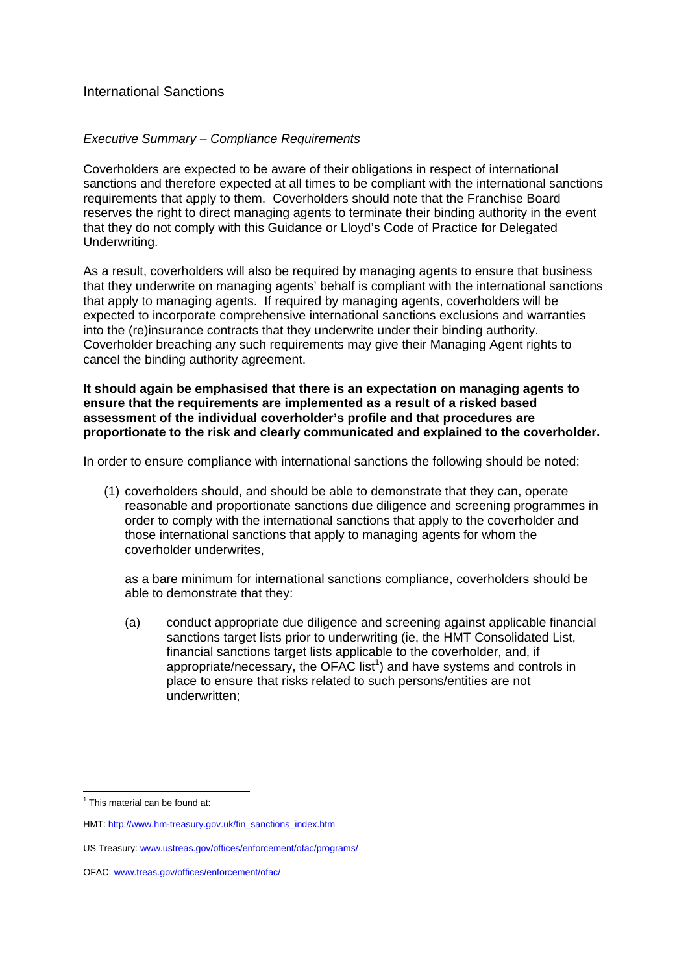# International Sanctions

## *Executive Summary – Compliance Requirements*

Coverholders are expected to be aware of their obligations in respect of international sanctions and therefore expected at all times to be compliant with the international sanctions requirements that apply to them. Coverholders should note that the Franchise Board reserves the right to direct managing agents to terminate their binding authority in the event that they do not comply with this Guidance or Lloyd's Code of Practice for Delegated Underwriting.

As a result, coverholders will also be required by managing agents to ensure that business that they underwrite on managing agents' behalf is compliant with the international sanctions that apply to managing agents. If required by managing agents, coverholders will be expected to incorporate comprehensive international sanctions exclusions and warranties into the (re)insurance contracts that they underwrite under their binding authority. Coverholder breaching any such requirements may give their Managing Agent rights to cancel the binding authority agreement.

**It should again be emphasised that there is an expectation on managing agents to ensure that the requirements are implemented as a result of a risked based assessment of the individual coverholder's profile and that procedures are proportionate to the risk and clearly communicated and explained to the coverholder.** 

In order to ensure compliance with international sanctions the following should be noted:

(1) coverholders should, and should be able to demonstrate that they can, operate reasonable and proportionate sanctions due diligence and screening programmes in order to comply with the international sanctions that apply to the coverholder and those international sanctions that apply to managing agents for whom the coverholder underwrites,

as a bare minimum for international sanctions compliance, coverholders should be able to demonstrate that they:

(a) conduct appropriate due diligence and screening against applicable financial sanctions target lists prior to underwriting (ie, the HMT Consolidated List, financial sanctions target lists applicable to the coverholder, and, if appropriate/necessary, the OFAC list<sup>1</sup>) and have systems and controls in place to ensure that risks related to such persons/entities are not underwritten;

 $\overline{a}$ 

 $1$  This material can be found at:

HMT: http://www.hm-treasury.gov.uk/fin\_sanctions\_index.htm

US Treasury: www.ustreas.gov/offices/enforcement/ofac/programs/

OFAC: www.treas.gov/offices/enforcement/ofac/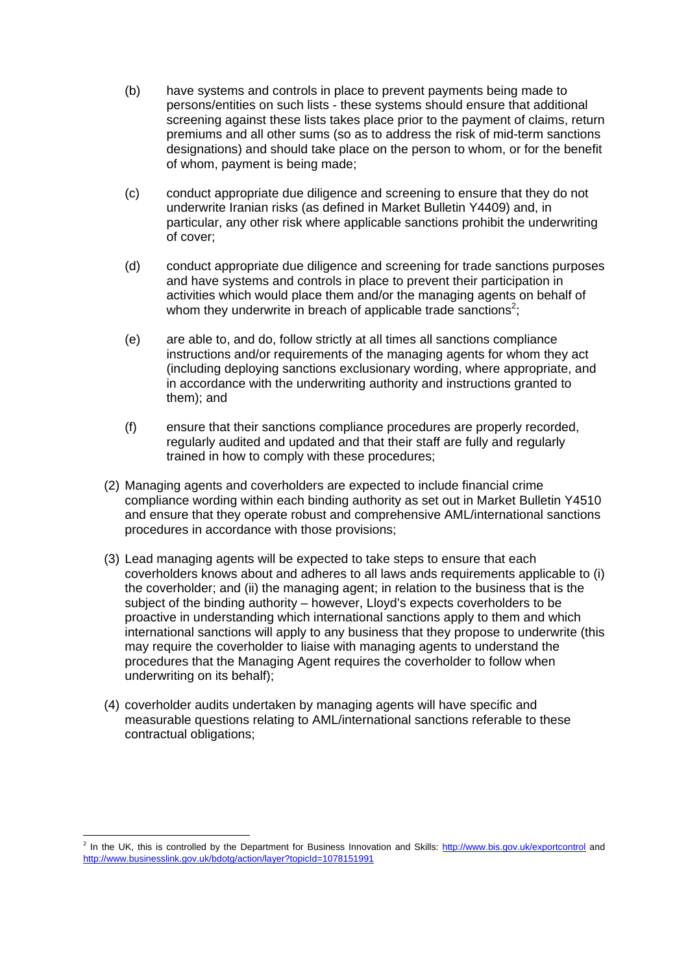- (b) have systems and controls in place to prevent payments being made to persons/entities on such lists - these systems should ensure that additional screening against these lists takes place prior to the payment of claims, return premiums and all other sums (so as to address the risk of mid-term sanctions designations) and should take place on the person to whom, or for the benefit of whom, payment is being made;
- (c) conduct appropriate due diligence and screening to ensure that they do not underwrite Iranian risks (as defined in Market Bulletin Y4409) and, in particular, any other risk where applicable sanctions prohibit the underwriting of cover;
- (d) conduct appropriate due diligence and screening for trade sanctions purposes and have systems and controls in place to prevent their participation in activities which would place them and/or the managing agents on behalf of whom they underwrite in breach of applicable trade sanctions<sup>2</sup>;
- (e) are able to, and do, follow strictly at all times all sanctions compliance instructions and/or requirements of the managing agents for whom they act (including deploying sanctions exclusionary wording, where appropriate, and in accordance with the underwriting authority and instructions granted to them); and
- (f) ensure that their sanctions compliance procedures are properly recorded, regularly audited and updated and that their staff are fully and regularly trained in how to comply with these procedures;
- (2) Managing agents and coverholders are expected to include financial crime compliance wording within each binding authority as set out in Market Bulletin Y4510 and ensure that they operate robust and comprehensive AML/international sanctions procedures in accordance with those provisions;
- (3) Lead managing agents will be expected to take steps to ensure that each coverholders knows about and adheres to all laws ands requirements applicable to (i) the coverholder; and (ii) the managing agent; in relation to the business that is the subject of the binding authority – however, Lloyd's expects coverholders to be proactive in understanding which international sanctions apply to them and which international sanctions will apply to any business that they propose to underwrite (this may require the coverholder to liaise with managing agents to understand the procedures that the Managing Agent requires the coverholder to follow when underwriting on its behalf);
- (4) coverholder audits undertaken by managing agents will have specific and measurable questions relating to AML/international sanctions referable to these contractual obligations;

<sup>&</sup>lt;sup>2</sup> In the UK, this is controlled by the Department for Business Innovation and Skills: http://www.bis.gov.uk/exportcontrol and http://www.businesslink.gov.uk/bdotg/action/layer?topicId=1078151991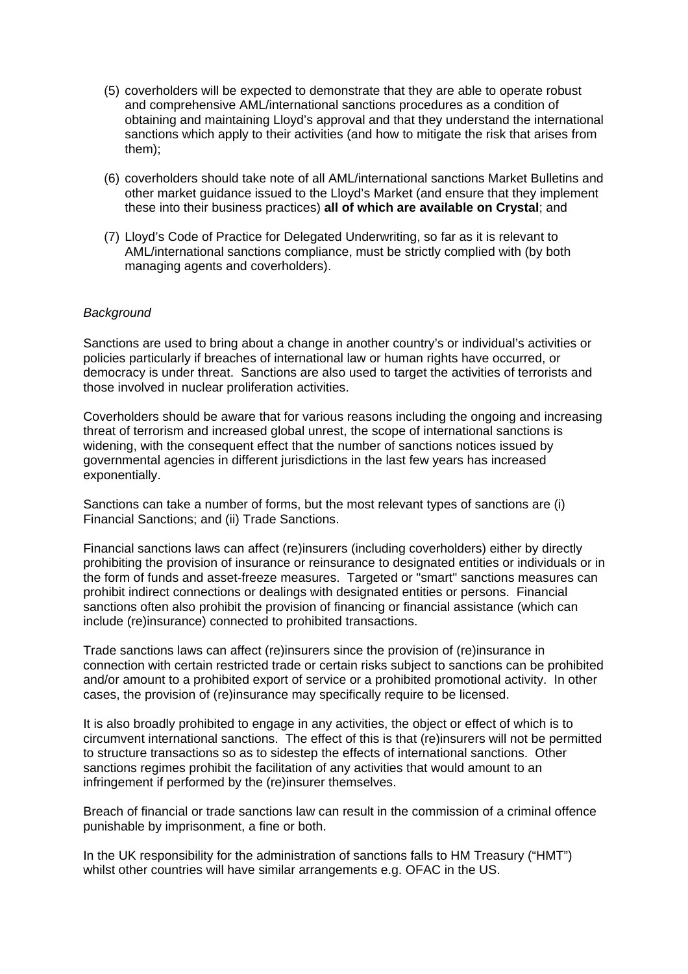- (5) coverholders will be expected to demonstrate that they are able to operate robust and comprehensive AML/international sanctions procedures as a condition of obtaining and maintaining Lloyd's approval and that they understand the international sanctions which apply to their activities (and how to mitigate the risk that arises from them);
- (6) coverholders should take note of all AML/international sanctions Market Bulletins and other market guidance issued to the Lloyd's Market (and ensure that they implement these into their business practices) **all of which are available on Crystal**; and
- (7) Lloyd's Code of Practice for Delegated Underwriting, so far as it is relevant to AML/international sanctions compliance, must be strictly complied with (by both managing agents and coverholders).

### *Background*

Sanctions are used to bring about a change in another country's or individual's activities or policies particularly if breaches of international law or human rights have occurred, or democracy is under threat. Sanctions are also used to target the activities of terrorists and those involved in nuclear proliferation activities.

Coverholders should be aware that for various reasons including the ongoing and increasing threat of terrorism and increased global unrest, the scope of international sanctions is widening, with the consequent effect that the number of sanctions notices issued by governmental agencies in different jurisdictions in the last few years has increased exponentially.

Sanctions can take a number of forms, but the most relevant types of sanctions are (i) Financial Sanctions; and (ii) Trade Sanctions.

Financial sanctions laws can affect (re)insurers (including coverholders) either by directly prohibiting the provision of insurance or reinsurance to designated entities or individuals or in the form of funds and asset-freeze measures. Targeted or "smart" sanctions measures can prohibit indirect connections or dealings with designated entities or persons. Financial sanctions often also prohibit the provision of financing or financial assistance (which can include (re)insurance) connected to prohibited transactions.

Trade sanctions laws can affect (re)insurers since the provision of (re)insurance in connection with certain restricted trade or certain risks subject to sanctions can be prohibited and/or amount to a prohibited export of service or a prohibited promotional activity. In other cases, the provision of (re)insurance may specifically require to be licensed.

It is also broadly prohibited to engage in any activities, the object or effect of which is to circumvent international sanctions. The effect of this is that (re)insurers will not be permitted to structure transactions so as to sidestep the effects of international sanctions. Other sanctions regimes prohibit the facilitation of any activities that would amount to an infringement if performed by the (re)insurer themselves.

Breach of financial or trade sanctions law can result in the commission of a criminal offence punishable by imprisonment, a fine or both.

In the UK responsibility for the administration of sanctions falls to HM Treasury ("HMT") whilst other countries will have similar arrangements e.g. OFAC in the US.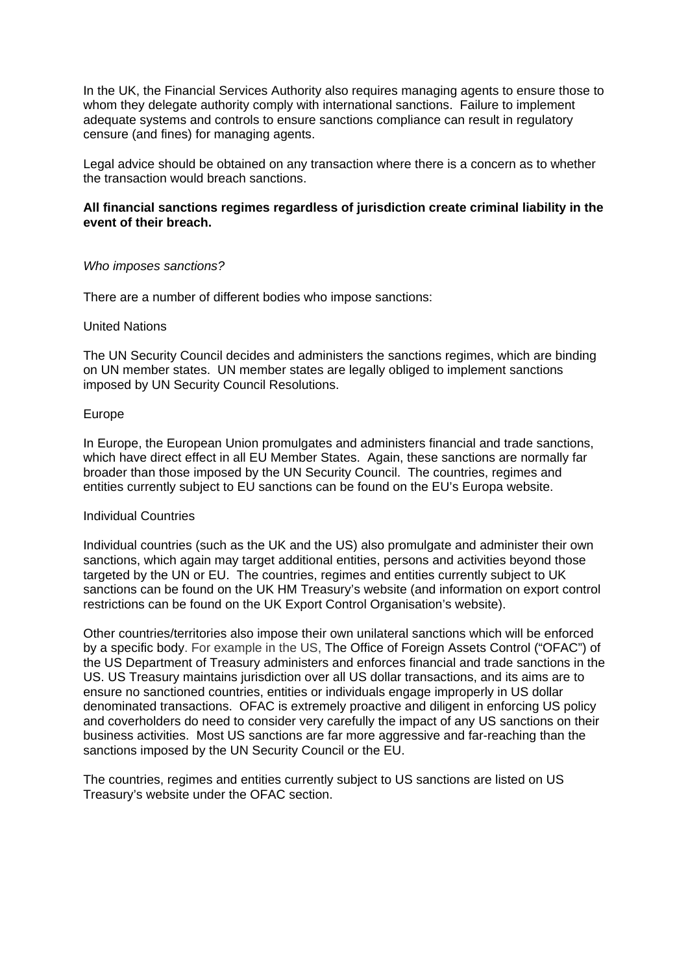In the UK, the Financial Services Authority also requires managing agents to ensure those to whom they delegate authority comply with international sanctions. Failure to implement adequate systems and controls to ensure sanctions compliance can result in regulatory censure (and fines) for managing agents.

Legal advice should be obtained on any transaction where there is a concern as to whether the transaction would breach sanctions.

### **All financial sanctions regimes regardless of jurisdiction create criminal liability in the event of their breach.**

#### *Who imposes sanctions?*

There are a number of different bodies who impose sanctions:

#### United Nations

The UN Security Council decides and administers the sanctions regimes, which are binding on UN member states. UN member states are legally obliged to implement sanctions imposed by UN Security Council Resolutions.

### Europe

In Europe, the European Union promulgates and administers financial and trade sanctions, which have direct effect in all EU Member States. Again, these sanctions are normally far broader than those imposed by the UN Security Council. The countries, regimes and entities currently subject to EU sanctions can be found on the EU's Europa website.

#### Individual Countries

Individual countries (such as the UK and the US) also promulgate and administer their own sanctions, which again may target additional entities, persons and activities beyond those targeted by the UN or EU. The countries, regimes and entities currently subject to UK sanctions can be found on the UK HM Treasury's website (and information on export control restrictions can be found on the UK Export Control Organisation's website).

Other countries/territories also impose their own unilateral sanctions which will be enforced by a specific body. For example in the US, The Office of Foreign Assets Control ("OFAC") of the US Department of Treasury administers and enforces financial and trade sanctions in the US. US Treasury maintains jurisdiction over all US dollar transactions, and its aims are to ensure no sanctioned countries, entities or individuals engage improperly in US dollar denominated transactions. OFAC is extremely proactive and diligent in enforcing US policy and coverholders do need to consider very carefully the impact of any US sanctions on their business activities. Most US sanctions are far more aggressive and far-reaching than the sanctions imposed by the UN Security Council or the EU.

The countries, regimes and entities currently subject to US sanctions are listed on US Treasury's website under the OFAC section.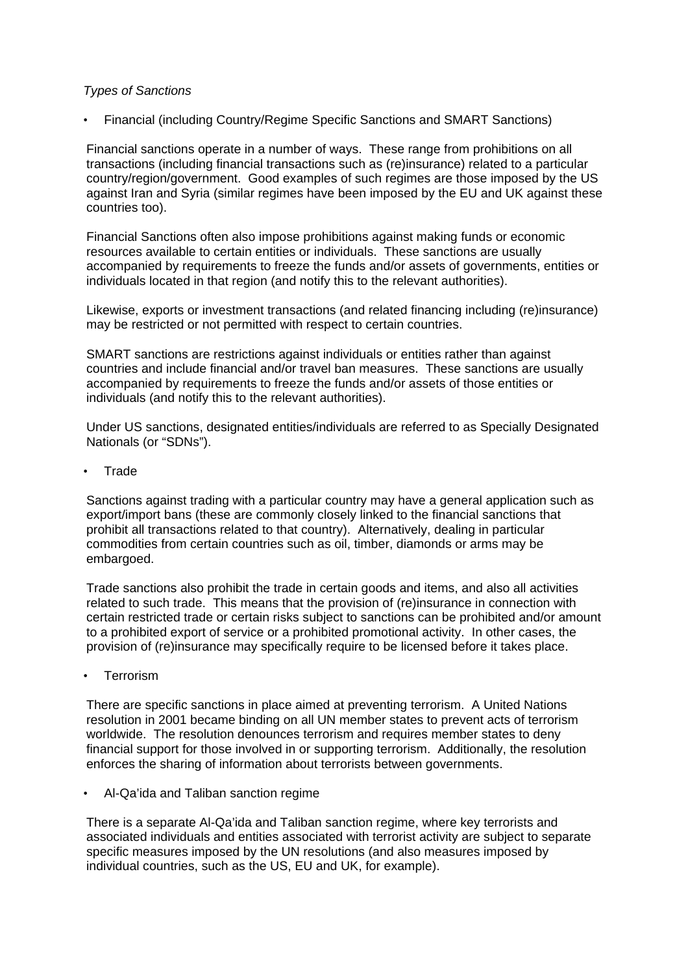### *Types of Sanctions*

• Financial (including Country/Regime Specific Sanctions and SMART Sanctions)

Financial sanctions operate in a number of ways. These range from prohibitions on all transactions (including financial transactions such as (re)insurance) related to a particular country/region/government. Good examples of such regimes are those imposed by the US against Iran and Syria (similar regimes have been imposed by the EU and UK against these countries too).

Financial Sanctions often also impose prohibitions against making funds or economic resources available to certain entities or individuals. These sanctions are usually accompanied by requirements to freeze the funds and/or assets of governments, entities or individuals located in that region (and notify this to the relevant authorities).

Likewise, exports or investment transactions (and related financing including (re)insurance) may be restricted or not permitted with respect to certain countries.

SMART sanctions are restrictions against individuals or entities rather than against countries and include financial and/or travel ban measures. These sanctions are usually accompanied by requirements to freeze the funds and/or assets of those entities or individuals (and notify this to the relevant authorities).

Under US sanctions, designated entities/individuals are referred to as Specially Designated Nationals (or "SDNs").

**Trade** 

Sanctions against trading with a particular country may have a general application such as export/import bans (these are commonly closely linked to the financial sanctions that prohibit all transactions related to that country). Alternatively, dealing in particular commodities from certain countries such as oil, timber, diamonds or arms may be embargoed.

Trade sanctions also prohibit the trade in certain goods and items, and also all activities related to such trade. This means that the provision of (re)insurance in connection with certain restricted trade or certain risks subject to sanctions can be prohibited and/or amount to a prohibited export of service or a prohibited promotional activity. In other cases, the provision of (re)insurance may specifically require to be licensed before it takes place.

**Terrorism** 

There are specific sanctions in place aimed at preventing terrorism. A United Nations resolution in 2001 became binding on all UN member states to prevent acts of terrorism worldwide. The resolution denounces terrorism and requires member states to deny financial support for those involved in or supporting terrorism. Additionally, the resolution enforces the sharing of information about terrorists between governments.

• Al-Qa'ida and Taliban sanction regime

There is a separate Al-Qa'ida and Taliban sanction regime, where key terrorists and associated individuals and entities associated with terrorist activity are subject to separate specific measures imposed by the UN resolutions (and also measures imposed by individual countries, such as the US, EU and UK, for example).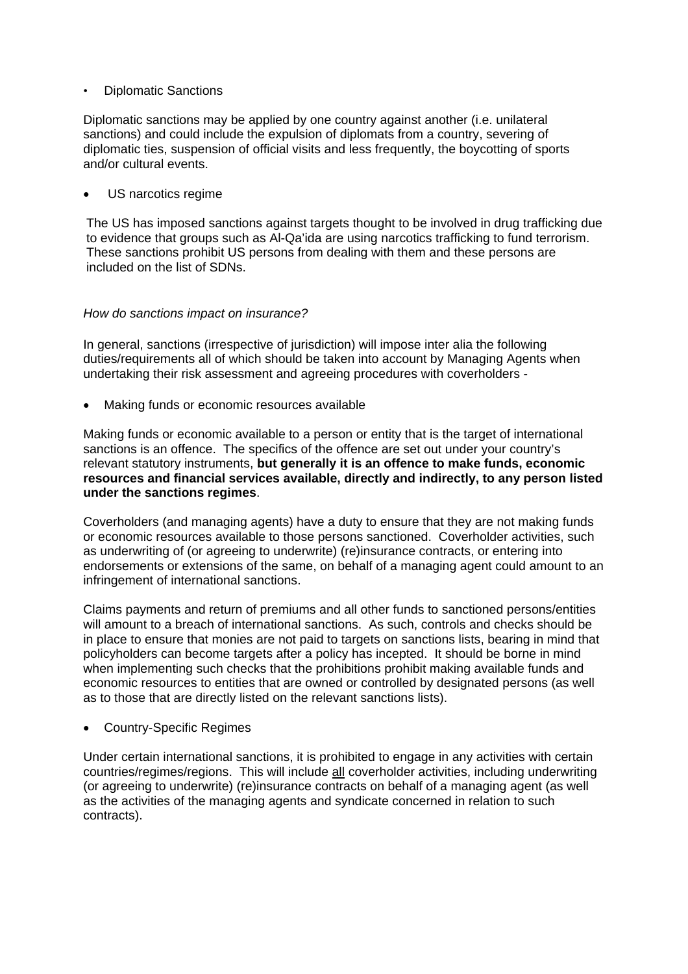• Diplomatic Sanctions

Diplomatic sanctions may be applied by one country against another (i.e. unilateral sanctions) and could include the expulsion of diplomats from a country, severing of diplomatic ties, suspension of official visits and less frequently, the boycotting of sports and/or cultural events.

US narcotics regime

The US has imposed sanctions against targets thought to be involved in drug trafficking due to evidence that groups such as Al-Qa'ida are using narcotics trafficking to fund terrorism. These sanctions prohibit US persons from dealing with them and these persons are included on the list of SDNs.

#### *How do sanctions impact on insurance?*

In general, sanctions (irrespective of jurisdiction) will impose inter alia the following duties/requirements all of which should be taken into account by Managing Agents when undertaking their risk assessment and agreeing procedures with coverholders -

• Making funds or economic resources available

Making funds or economic available to a person or entity that is the target of international sanctions is an offence. The specifics of the offence are set out under your country's relevant statutory instruments, **but generally it is an offence to make funds, economic resources and financial services available, directly and indirectly, to any person listed under the sanctions regimes**.

Coverholders (and managing agents) have a duty to ensure that they are not making funds or economic resources available to those persons sanctioned. Coverholder activities, such as underwriting of (or agreeing to underwrite) (re)insurance contracts, or entering into endorsements or extensions of the same, on behalf of a managing agent could amount to an infringement of international sanctions.

Claims payments and return of premiums and all other funds to sanctioned persons/entities will amount to a breach of international sanctions. As such, controls and checks should be in place to ensure that monies are not paid to targets on sanctions lists, bearing in mind that policyholders can become targets after a policy has incepted. It should be borne in mind when implementing such checks that the prohibitions prohibit making available funds and economic resources to entities that are owned or controlled by designated persons (as well as to those that are directly listed on the relevant sanctions lists).

• Country-Specific Regimes

Under certain international sanctions, it is prohibited to engage in any activities with certain countries/regimes/regions. This will include all coverholder activities, including underwriting (or agreeing to underwrite) (re)insurance contracts on behalf of a managing agent (as well as the activities of the managing agents and syndicate concerned in relation to such contracts).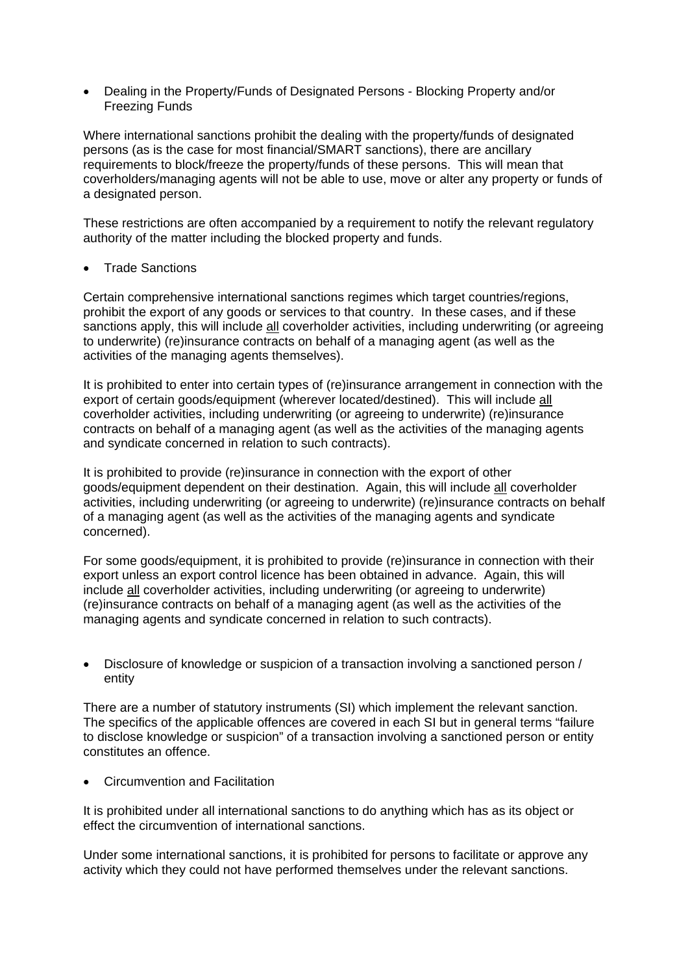• Dealing in the Property/Funds of Designated Persons - Blocking Property and/or Freezing Funds

Where international sanctions prohibit the dealing with the property/funds of designated persons (as is the case for most financial/SMART sanctions), there are ancillary requirements to block/freeze the property/funds of these persons. This will mean that coverholders/managing agents will not be able to use, move or alter any property or funds of a designated person.

These restrictions are often accompanied by a requirement to notify the relevant regulatory authority of the matter including the blocked property and funds.

**Trade Sanctions** 

Certain comprehensive international sanctions regimes which target countries/regions, prohibit the export of any goods or services to that country. In these cases, and if these sanctions apply, this will include all coverholder activities, including underwriting (or agreeing to underwrite) (re)insurance contracts on behalf of a managing agent (as well as the activities of the managing agents themselves).

It is prohibited to enter into certain types of (re)insurance arrangement in connection with the export of certain goods/equipment (wherever located/destined). This will include all coverholder activities, including underwriting (or agreeing to underwrite) (re)insurance contracts on behalf of a managing agent (as well as the activities of the managing agents and syndicate concerned in relation to such contracts).

It is prohibited to provide (re)insurance in connection with the export of other goods/equipment dependent on their destination. Again, this will include all coverholder activities, including underwriting (or agreeing to underwrite) (re)insurance contracts on behalf of a managing agent (as well as the activities of the managing agents and syndicate concerned).

For some goods/equipment, it is prohibited to provide (re)insurance in connection with their export unless an export control licence has been obtained in advance. Again, this will include all coverholder activities, including underwriting (or agreeing to underwrite) (re)insurance contracts on behalf of a managing agent (as well as the activities of the managing agents and syndicate concerned in relation to such contracts).

• Disclosure of knowledge or suspicion of a transaction involving a sanctioned person / entity

There are a number of statutory instruments (SI) which implement the relevant sanction. The specifics of the applicable offences are covered in each SI but in general terms "failure to disclose knowledge or suspicion" of a transaction involving a sanctioned person or entity constitutes an offence.

• Circumvention and Facilitation

It is prohibited under all international sanctions to do anything which has as its object or effect the circumvention of international sanctions.

Under some international sanctions, it is prohibited for persons to facilitate or approve any activity which they could not have performed themselves under the relevant sanctions.